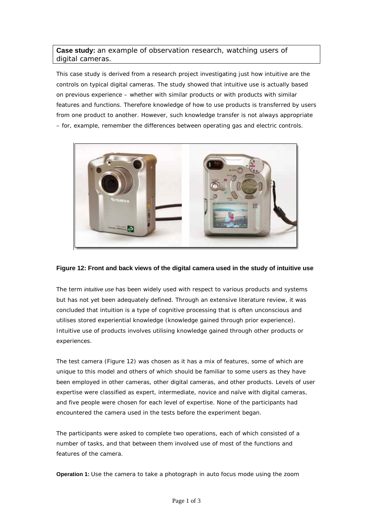## **Case study:** an example of observation research, watching users of digital cameras.

This case study is derived from a research project investigating just how intuitive are the controls on typical digital cameras. The study showed that intuitive use is actually based on previous experience – whether with similar products or with products with similar features and functions. Therefore knowledge of how to use products is transferred by users from one product to another. However, such knowledge transfer is not always appropriate – for, example, remember the differences between operating gas and electric controls.



## **Figure 12: Front and back views of the digital camera used in the study of intuitive use**

The term *intuitive use* has been widely used with respect to various products and systems but has not yet been adequately defined. Through an extensive literature review, it was concluded that intuition is a type of cognitive processing that is often unconscious and utilises stored experiential knowledge (knowledge gained through prior experience). Intuitive use of products involves utilising knowledge gained through other products or experiences.

The test camera (Figure 12) was chosen as it has a mix of features, some of which are unique to this model and others of which should be familiar to some users as they have been employed in other cameras, other digital cameras, and other products. Levels of user expertise were classified as expert, intermediate, novice and naïve with digital cameras, and five people were chosen for each level of expertise. None of the participants had encountered the camera used in the tests before the experiment began.

The participants were asked to complete two operations, each of which consisted of a number of tasks, and that between them involved use of most of the functions and features of the camera.

**Operation 1:** Use the camera to take a photograph in auto focus mode using the zoom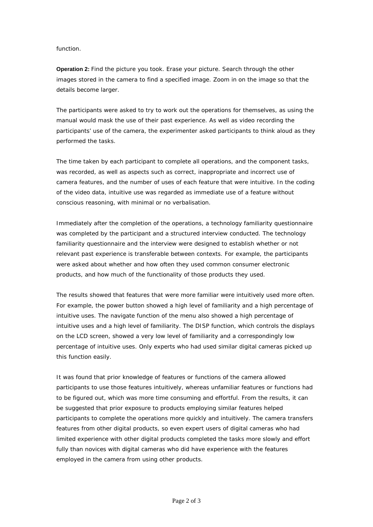## function.

**Operation 2:** Find the picture you took. Erase your picture. Search through the other images stored in the camera to find a specified image. Zoom in on the image so that the details become larger.

The participants were asked to try to work out the operations for themselves, as using the manual would mask the use of their past experience. As well as video recording the participants' use of the camera, the experimenter asked participants to think aloud as they performed the tasks.

The time taken by each participant to complete all operations, and the component tasks, was recorded, as well as aspects such as correct, inappropriate and incorrect use of camera features, and the number of uses of each feature that were intuitive. In the coding of the video data, intuitive use was regarded as immediate use of a feature without conscious reasoning, with minimal or no verbalisation.

Immediately after the completion of the operations, a technology familiarity questionnaire was completed by the participant and a structured interview conducted. The technology familiarity questionnaire and the interview were designed to establish whether or not relevant past experience is transferable between contexts. For example, the participants were asked about whether and how often they used common consumer electronic products, and how much of the functionality of those products they used.

The results showed that features that were more familiar were intuitively used more often. For example, the power button showed a high level of familiarity and a high percentage of intuitive uses. The navigate function of the menu also showed a high percentage of intuitive uses and a high level of familiarity. The DISP function, which controls the displays on the LCD screen, showed a very low level of familiarity and a correspondingly low percentage of intuitive uses. Only experts who had used similar digital cameras picked up this function easily.

It was found that prior knowledge of features or functions of the camera allowed participants to use those features intuitively, whereas unfamiliar features or functions had to be figured out, which was more time consuming and effortful. From the results, it can be suggested that prior exposure to products employing similar features helped participants to complete the operations more quickly and intuitively. The camera transfers features from other digital products, so even expert users of digital cameras who had limited experience with other digital products completed the tasks more slowly and effort fully than novices with digital cameras who did have experience with the features employed in the camera from using other products.